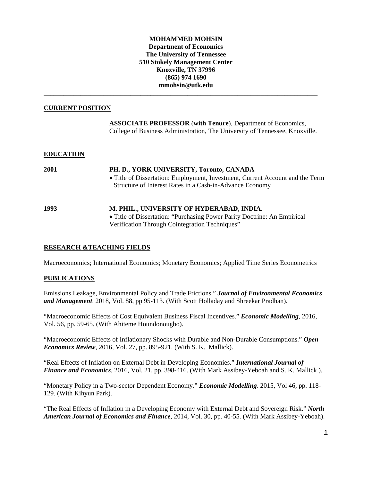## **MOHAMMED MOHSIN Department of Economics The University of Tennessee 510 Stokely Management Center Knoxville, TN 37996 (865) 974 1690 mmohsin@utk.edu**

\_\_\_\_\_\_\_\_\_\_\_\_\_\_\_\_\_\_\_\_\_\_\_\_\_\_\_\_\_\_\_\_\_\_\_\_\_\_\_\_\_\_\_\_\_\_\_\_\_\_\_\_\_\_\_\_\_\_\_\_\_\_\_\_\_\_\_\_\_\_\_\_\_\_\_\_\_\_\_\_\_\_

## **CURRENT POSITION**

|                  | <b>ASSOCIATE PROFESSOR (with Tenure), Department of Economics,</b><br>College of Business Administration, The University of Tennessee, Knoxville.                                     |
|------------------|---------------------------------------------------------------------------------------------------------------------------------------------------------------------------------------|
| <b>EDUCATION</b> |                                                                                                                                                                                       |
| 2001             | PH. D., YORK UNIVERSITY, Toronto, CANADA<br>• Title of Dissertation: Employment, Investment, Current Account and the Term<br>Structure of Interest Rates in a Cash-in-Advance Economy |
| 1993             | M. PHIL., UNIVERSITY OF HYDERABAD, INDIA.<br>• Title of Dissertation: "Purchasing Power Parity Doctrine: An Empirical<br>Verification Through Cointegration Techniques"               |

## **RESEARCH &TEACHING FIELDS**

Macroeconomics; International Economics; Monetary Economics; Applied Time Series Econometrics

## **PUBLICATIONS**

Emissions Leakage, Environmental Policy and Trade Frictions." *Journal of Environmental Economics and Management*. 2018, Vol. 88, pp 95-113. (With Scott Holladay and Shreekar Pradhan).

"Macroeconomic Effects of Cost Equivalent Business Fiscal Incentives." *Economic Modelling*, 2016, Vol. 56, pp. 59-65. (With Ahiteme Houndonougbo).

"Macroeconomic Effects of Inflationary Shocks with Durable and Non-Durable Consumptions." *Open Economics Review*, 2016, Vol. 27, pp. 895-921. (With S. K. Mallick).

"Real Effects of Inflation on External Debt in Developing Economies." *International Journal of Finance and Economics*, 2016, Vol. 21, pp. 398-416. (With Mark Assibey-Yeboah and S. K. Mallick ).

"Monetary Policy in a Two-sector Dependent Economy." *Economic Modelling*. 2015, Vol 46, pp. 118- 129. (With Kihyun Park).

"The Real Effects of Inflation in a Developing Economy with External Debt and Sovereign Risk." *North American Journal of Economics and Finance*, 2014, Vol. 30, pp. 40-55. (With Mark Assibey-Yeboah).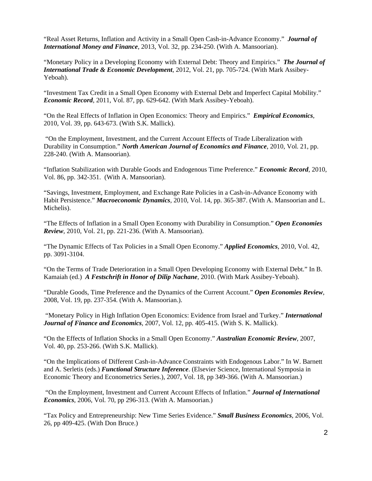"Real Asset Returns, Inflation and Activity in a Small Open Cash-in-Advance Economy." *Journal of International Money and Finance*, 2013, Vol. 32, pp. 234-250. (With A. Mansoorian).

"Monetary Policy in a Developing Economy with External Debt: Theory and Empirics." *The Journal of International Trade & Economic Development*, 2012, Vol. 21, pp. 705-724. (With Mark Assibey-Yeboah).

"Investment Tax Credit in a Small Open Economy with External Debt and Imperfect Capital Mobility." *Economic Record*, 2011, Vol. 87, pp. 629-642. (With Mark Assibey-Yeboah).

"On the Real Effects of Inflation in Open Economics: Theory and Empirics." *Empirical Economics*, 2010, Vol. 39, pp. 643-673. (With S.K. Mallick).

 "On the Employment, Investment, and the Current Account Effects of Trade Liberalization with Durability in Consumption." *North American Journal of Economics and Finance*, 2010, Vol. 21, pp. 228-240. (With A. Mansoorian).

"Inflation Stabilization with Durable Goods and Endogenous Time Preference." *Economic Record*, 2010, Vol. 86, pp. 342-351. (With A. Mansoorian).

"Savings, Investment, Employment, and Exchange Rate Policies in a Cash-in-Advance Economy with Habit Persistence." *Macroeconomic Dynamics*, 2010, Vol. 14, pp. 365-387. (With A. Mansoorian and L. Michelis).

"The Effects of Inflation in a Small Open Economy with Durability in Consumption." *Open Economies Review*, 2010, Vol. 21, pp. 221-236. (With A. Mansoorian).

"The Dynamic Effects of Tax Policies in a Small Open Economy." *Applied Economics*, 2010, Vol. 42, pp. 3091-3104.

"On the Terms of Trade Deterioration in a Small Open Developing Economy with External Debt." In B. Kamaiah (ed.) *A Festschrift in Honor of Dilip Nachane,* 2010. (With Mark Assibey-Yeboah).

"Durable Goods, Time Preference and the Dynamics of the Current Account." *Open Economies Review*, 2008, Vol. 19, pp. 237-354. (With A. Mansoorian.).

 "Monetary Policy in High Inflation Open Economics: Evidence from Israel and Turkey." *International Journal of Finance and Economics*, 2007, Vol. 12, pp. 405-415. (With S. K. Mallick).

"On the Effects of Inflation Shocks in a Small Open Economy." *Australian Economic Review*, 2007, Vol. 40, pp. 253-266. (With S.K. Mallick).

"On the Implications of Different Cash-in-Advance Constraints with Endogenous Labor." In W. Barnett and A. Serletis (eds.) *Functional Structure Inference*. (Elsevier Science, International Symposia in Economic Theory and Econometrics Series.), 2007, Vol. 18, pp 349-366. (With A. Mansoorian.)

 "On the Employment, Investment and Current Account Effects of Inflation." *Journal of International Economics*, 2006, Vol. 70, pp 296-313. (With A. Mansoorian.)

"Tax Policy and Entrepreneurship: New Time Series Evidence." *Small Business Economics*, 2006, Vol. 26, pp 409-425. (With Don Bruce.)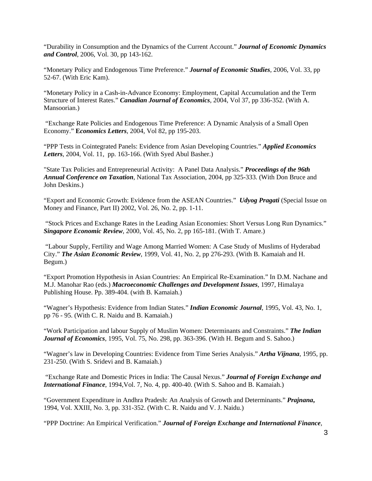"Durability in Consumption and the Dynamics of the Current Account." *Journal of Economic Dynamics and Control*, 2006, Vol. 30, pp 143-162.

"Monetary Policy and Endogenous Time Preference." *Journal of Economic Studies*, 2006, Vol. 33, pp 52-67. (With Eric Kam).

"Monetary Policy in a Cash-in-Advance Economy: Employment, Capital Accumulation and the Term Structure of Interest Rates." *Canadian Journal of Economics*, 2004, Vol 37, pp 336-352. (With A. Mansoorian.)

 "Exchange Rate Policies and Endogenous Time Preference: A Dynamic Analysis of a Small Open Economy." **E***conomics Letters*, 2004, Vol 82, pp 195-203.

"PPP Tests in Cointegrated Panels: Evidence from Asian Developing Countries." *Applied Economics Letters*, 2004, Vol. 11, pp. 163-166. (With Syed Abul Basher.)

"State Tax Policies and Entrepreneurial Activity: A Panel Data Analysis." *Proceedings of the 96th Annual Conference on Taxation,* National Tax Association, 2004, pp 325-333. (With Don Bruce and John Deskins.)

"Export and Economic Growth: Evidence from the ASEAN Countries." *Udyog Pragati* (Special Issue on Money and Finance, Part II) 2002, Vol. 26, No. 2, pp. 1-11.

 "Stock Prices and Exchange Rates in the Leading Asian Economies: Short Versus Long Run Dynamics." *Singapore Economic Review*, 2000, Vol. 45, No. 2, pp 165-181. (With T. Amare.)

 "Labour Supply, Fertility and Wage Among Married Women: A Case Study of Muslims of Hyderabad City." *The Asian Economic Review*, 1999, Vol. 41, No. 2, pp 276-293. (With B. Kamaiah and H. Begum.)

"Export Promotion Hypothesis in Asian Countries: An Empirical Re-Examination." In D.M. Nachane and M.J. Manohar Rao (eds.) *Macroeconomic Challenges and Development Issues*, 1997, Himalaya Publishing House. Pp. 389-404. (with B. Kamaiah.)

"Wagner's Hypothesis: Evidence from Indian States." *Indian Economic Journal*, 1995, Vol. 43, No. 1, pp 76 - 95. (With C. R. Naidu and B. Kamaiah.)

"Work Participation and labour Supply of Muslim Women: Determinants and Constraints." *The Indian Journal of Economics*, 1995, Vol. 75, No. 298, pp. 363-396. (With H. Begum and S. Sahoo.)

"Wagner's law in Developing Countries: Evidence from Time Series Analysis." *Artha Vijnana*, 1995, pp. 231-250. (With S. Sridevi and B. Kamaiah.)

 "Exchange Rate and Domestic Prices in India: The Causal Nexus." *Journal of Foreign Exchange and International Finance*, 1994,Vol. 7, No. 4, pp. 400-40. (With S. Sahoo and B. Kamaiah.)

"Government Expenditure in Andhra Pradesh: An Analysis of Growth and Determinants." *Prajnana***,** 1994, Vol. XXIII, No. 3, pp. 331-352. (With C. R. Naidu and V. J. Naidu.)

"PPP Doctrine: An Empirical Verification." *Journal of Foreign Exchange and International Finance*,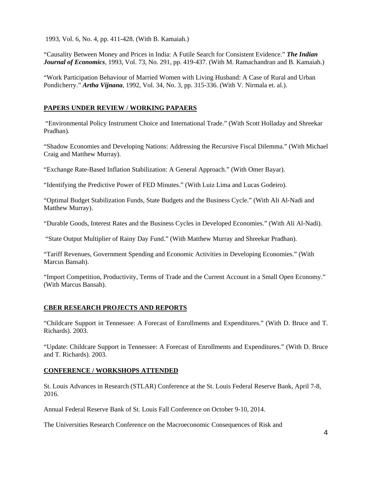1993, Vol. 6, No. 4, pp. 411-428. (With B. Kamaiah.)

"Causality Between Money and Prices in India: A Futile Search for Consistent Evidence." *The Indian Journal of Economics*, 1993, Vol. 73, No. 291, pp. 419-437. (With M. Ramachandran and B. Kamaiah.)

"Work Participation Behaviour of Married Women with Living Husband: A Case of Rural and Urban Pondicherry." *Artha Vijnana*, 1992, Vol. 34, No. 3, pp. 315-336. (With V. Nirmala et. al.).

## **PAPERS UNDER REVIEW / WORKING PAPAERS**

 "Environmental Policy Instrument Choice and International Trade." (With Scott Holladay and Shreekar Pradhan).

"Shadow Economies and Developing Nations: Addressing the Recursive Fiscal Dilemma." (With Michael Craig and Matthew Murray).

"Exchange Rate-Based Inflation Stabilization: A General Approach." (With Omer Bayar).

"Identifying the Predictive Power of FED Minutes." (With Luiz Lima and Lucas Godeiro).

"Optimal Budget Stabilization Funds, State Budgets and the Business Cycle." (With Ali Al-Nadi and Matthew Murray).

"Durable Goods, Interest Rates and the Business Cycles in Developed Economies." (With Ali Al-Nadi).

"State Output Multiplier of Rainy Day Fund." (With Matthew Murray and Shreekar Pradhan).

"Tariff Revenues, Government Spending and Economic Activities in Developing Economies." (With Marcus Bansah).

"Import Competition, Productivity, Terms of Trade and the Current Account in a Small Open Economy." (With Marcus Bansah).

## **CBER RESEARCH PROJECTS AND REPORTS**

"Childcare Support in Tennessee: A Forecast of Enrollments and Expenditures." (With D. Bruce and T. Richards). 2003.

"Update: Childcare Support in Tennessee: A Forecast of Enrollments and Expenditures." (With D. Bruce and T. Richards). 2003.

## **CONFERENCE / WORKSHOPS ATTENDED**

St. Louis Advances in Research (STLAR) Conference at the St. Louis Federal Reserve Bank, April 7-8, 2016.

Annual Federal Reserve Bank of St. Louis Fall Conference on October 9-10, 2014.

The Universities Research Conference on the Macroeconomic Consequences of Risk and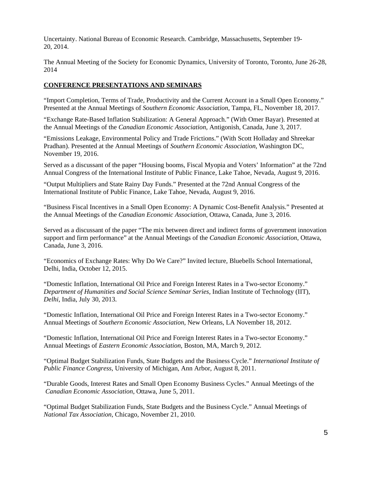Uncertainty. National Bureau of Economic Research. Cambridge, Massachusetts, September 19- 20, 2014.

The Annual Meeting of the Society for Economic Dynamics, University of Toronto, Toronto, June 26-28, 2014

## **CONFERENCE PRESENTATIONS AND SEMINARS**

"Import Completion, Terms of Trade, Productivity and the Current Account in a Small Open Economy." Presented at the Annual Meetings of *Southern Economic Association*, Tampa, FL, November 18, 2017.

"Exchange Rate-Based Inflation Stabilization: A General Approach." (With Omer Bayar). Presented at the Annual Meetings of the *Canadian Economic Association*, Antigonish, Canada, June 3, 2017.

"Emissions Leakage, Environmental Policy and Trade Frictions." (With Scott Holladay and Shreekar Pradhan). Presented at the Annual Meetings of *Southern Economic Association*, Washington DC, November 19, 2016.

Served as a discussant of the paper "Housing booms, Fiscal Myopia and Voters' Information" at the 72nd Annual Congress of the International Institute of Public Finance, Lake Tahoe, Nevada, August 9, 2016.

"Output Multipliers and State Rainy Day Funds." Presented at the 72nd Annual Congress of the International Institute of Public Finance, Lake Tahoe, Nevada, August 9, 2016.

"Business Fiscal Incentives in a Small Open Economy: A Dynamic Cost-Benefit Analysis." Presented at the Annual Meetings of the *Canadian Economic Association*, Ottawa, Canada, June 3, 2016.

Served as a discussant of the paper "The mix between direct and indirect forms of government innovation support and firm performance" at the Annual Meetings of the *Canadian Economic Association*, Ottawa, Canada, June 3, 2016.

"Economics of Exchange Rates: Why Do We Care?" Invited lecture, Bluebells School International, Delhi, India, October 12, 2015.

"Domestic Inflation, International Oil Price and Foreign Interest Rates in a Two-sector Economy." *Department of Humanities and Social Science Seminar Series,* Indian Institute of Technology (IIT), *Delhi*, India, July 30, 2013.

"Domestic Inflation, International Oil Price and Foreign Interest Rates in a Two-sector Economy." Annual Meetings of *Southern Economic Association*, New Orleans, LA November 18, 2012.

"Domestic Inflation, International Oil Price and Foreign Interest Rates in a Two-sector Economy." Annual Meetings of *Eastern Economic Association*, Boston, MA, March 9, 2012.

"Optimal Budget Stabilization Funds, State Budgets and the Business Cycle." *International Institute of Public Finance Congress*, University of Michigan, Ann Arbor, August 8, 2011.

"Durable Goods, Interest Rates and Small Open Economy Business Cycles." Annual Meetings of the *Canadian Economic Association*, Ottawa, June 5, 2011.

"Optimal Budget Stabilization Funds, State Budgets and the Business Cycle." Annual Meetings of *National Tax Association*, Chicago, November 21, 2010.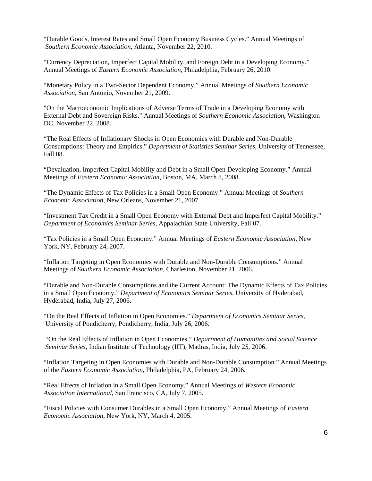"Durable Goods, Interest Rates and Small Open Economy Business Cycles." Annual Meetings of  *Southern Economic Association*, Atlanta, November 22, 2010.

"Currency Depreciation, Imperfect Capital Mobility, and Foreign Debt in a Developing Economy." Annual Meetings of *Eastern Economic Association*, Philadelphia, February 26, 2010.

"Monetary Policy in a Two-Sector Dependent Economy." Annual Meetings of *Southern Economic Association*, San Antonio, November 21, 2009.

"On the Macroeconomic Implications of Adverse Terms of Trade in a Developing Economy with External Debt and Sovereign Risks." Annual Meetings of *Southern Economic Association*, Washington DC, November 22, 2008.

"The Real Effects of Inflationary Shocks in Open Economies with Durable and Non-Durable Consumptions: Theory and Empirics." *Department of Statistics Seminar Series*, University of Tennessee, Fall 08.

"Devaluation, Imperfect Capital Mobility and Debt in a Small Open Developing Economy." Annual Meetings of *Eastern Economic Association*, Boston, MA, March 8, 2008.

"The Dynamic Effects of Tax Policies in a Small Open Economy." Annual Meetings of *Southern Economic Association*, New Orleans, November 21, 2007.

"Investment Tax Credit in a Small Open Economy with External Debt and Imperfect Capital Mobility." *Department of Economics Seminar Series*, Appalachian State University, Fall 07.

"Tax Policies in a Small Open Economy." Annual Meetings of *Eastern Economic Association*, New York, NY, February 24, 2007.

"Inflation Targeting in Open Economies with Durable and Non-Durable Consumptions." Annual Meetings of *Southern Economic Association*, Charleston, November 21, 2006.

"Durable and Non-Durable Consumptions and the Current Account: The Dynamic Effects of Tax Policies in a Small Open Economy." *Department of Economics Seminar Series,* University of Hyderabad, Hyderabad, India, July 27, 2006.

"On the Real Effects of Inflation in Open Economies." *Department of Economics Seminar Series,*  University of Pondicherry, Pondicherry, India, July 26, 2006.

 "On the Real Effects of Inflation in Open Economies." *Department of Humanities and Social Science Seminar Series,* Indian Institute of Technology (IIT), Madras, India, July 25, 2006.

"Inflation Targeting in Open Economies with Durable and Non-Durable Consumption." Annual Meetings of the *Eastern Economic Association*, Philadelphia, PA, February 24, 2006.

"Real Effects of Inflation in a Small Open Economy." Annual Meetings of *Western Economic Association International*, San Francisco, CA, July 7, 2005.

"Fiscal Policies with Consumer Durables in a Small Open Economy." Annual Meetings of *Eastern Economic Association*, New York, NY, March 4, 2005.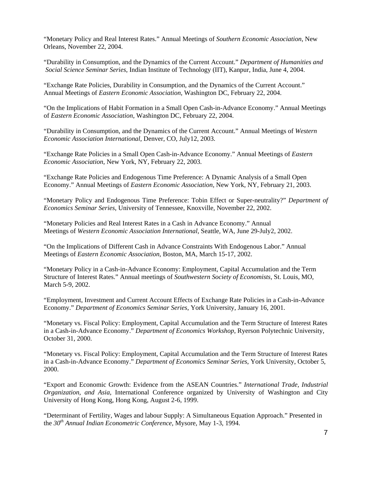"Monetary Policy and Real Interest Rates." Annual Meetings of *Southern Economic Association*, New Orleans, November 22, 2004.

"Durability in Consumption, and the Dynamics of the Current Account." *Department of Humanities and Social Science Seminar Series*, Indian Institute of Technology (IIT), Kanpur, India, June 4, 2004.

"Exchange Rate Policies, Durability in Consumption, and the Dynamics of the Current Account." Annual Meetings of *Eastern Economic Association*, Washington DC, February 22, 2004.

"On the Implications of Habit Formation in a Small Open Cash-in-Advance Economy." Annual Meetings of *Eastern Economic Association*, Washington DC, February 22, 2004.

"Durability in Consumption, and the Dynamics of the Current Account." Annual Meetings of *Western Economic Association International*, Denver, CO, July12, 2003.

"Exchange Rate Policies in a Small Open Cash-in-Advance Economy." Annual Meetings of *Eastern Economic Association*, New York, NY, February 22, 2003.

"Exchange Rate Policies and Endogenous Time Preference: A Dynamic Analysis of a Small Open Economy." Annual Meetings of *Eastern Economic Association*, New York, NY, February 21, 2003.

"Monetary Policy and Endogenous Time Preference: Tobin Effect or Super-neutrality?" *Department of Economics Seminar Series*, University of Tennessee, Knoxville, November 22, 2002.

"Monetary Policies and Real Interest Rates in a Cash in Advance Economy." Annual Meetings of *Western Economic Association International*, Seattle, WA, June 29-July2, 2002.

"On the Implications of Different Cash in Advance Constraints With Endogenous Labor." Annual Meetings of *Eastern Economic Association*, Boston, MA, March 15-17, 2002.

"Monetary Policy in a Cash-in-Advance Economy: Employment, Capital Accumulation and the Term Structure of Interest Rates." Annual meetings of *Southwestern Society of Economists,* St. Louis, MO, March 5-9, 2002.

"Employment, Investment and Current Account Effects of Exchange Rate Policies in a Cash-in-Advance Economy." *Department of Economics Seminar Series*, York University, January 16, 2001.

"Monetary vs. Fiscal Policy: Employment, Capital Accumulation and the Term Structure of Interest Rates in a Cash-in-Advance Economy." *Department of Economics Workshop*, Ryerson Polytechnic University, October 31, 2000.

"Monetary vs. Fiscal Policy: Employment, Capital Accumulation and the Term Structure of Interest Rates in a Cash-in-Advance Economy." *Department of Economics Seminar Series*, York University, October 5, 2000.

"Export and Economic Growth: Evidence from the ASEAN Countries." *International Trade, Industrial Organization, and Asia*, International Conference organized by University of Washington and City University of Hong Kong, Hong Kong, August 2-6, 1999.

"Determinant of Fertility, Wages and labour Supply: A Simultaneous Equation Approach." Presented in the *30th Annual Indian Econometric Conference*, Mysore, May 1-3, 1994.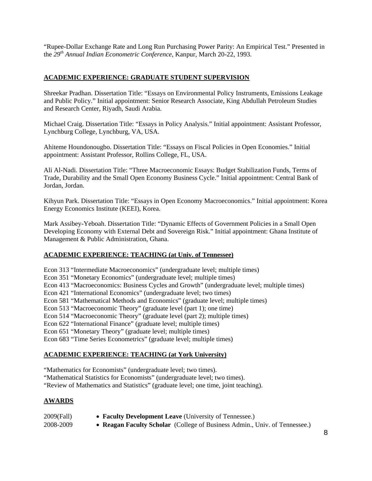"Rupee-Dollar Exchange Rate and Long Run Purchasing Power Parity: An Empirical Test." Presented in the *29th Annual Indian Econometric Conference*, Kanpur, March 20-22, 1993.

## **ACADEMIC EXPERIENCE: GRADUATE STUDENT SUPERVISION**

Shreekar Pradhan. Dissertation Title: "Essays on Environmental Policy Instruments, Emissions Leakage and Public Policy." Initial appointment: Senior Research Associate, King Abdullah Petroleum Studies and Research Center, Riyadh, Saudi Arabia.

Michael Craig. Dissertation Title: "Essays in Policy Analysis." Initial appointment: Assistant Professor, Lynchburg College, Lynchburg, VA, USA.

Ahiteme Houndonougbo. Dissertation Title: "Essays on Fiscal Policies in Open Economies." Initial appointment: Assistant Professor, Rollins College, FL, USA.

Ali Al-Nadi. Dissertation Title: "Three Macroeconomic Essays: Budget Stabilization Funds, Terms of Trade, Durability and the Small Open Economy Business Cycle." Initial appointment: Central Bank of Jordan, Jordan.

Kihyun Park. Dissertation Title: "Essays in Open Economy Macroeconomics." Initial appointment: Korea Energy Economics Institute (KEEI), Korea.

Mark Assibey-Yeboah. Dissertation Title: "Dynamic Effects of Government Policies in a Small Open Developing Economy with External Debt and Sovereign Risk." Initial appointment: Ghana Institute of Management & Public Administration, Ghana.

## **ACADEMIC EXPERIENCE: TEACHING (at Univ. of Tennessee)**

Econ 313 "Intermediate Macroeconomics" (undergraduate level; multiple times) Econ 351 "Monetary Economics" (undergraduate level; multiple times) Econ 413 "Macroeconomics: Business Cycles and Growth" (undergraduate level; multiple times) Econ 421 "International Economics" (undergraduate level; two times) Econ 581 "Mathematical Methods and Economics" (graduate level; multiple times) Econ 513 "Macroeconomic Theory" (graduate level (part 1); one time) Econ 514 "Macroeconomic Theory" (graduate level (part 2); multiple times) Econ 622 "International Finance" (graduate level; multiple times) Econ 651 "Monetary Theory" (graduate level; multiple times) Econ 683 "Time Series Econometrics" (graduate level; multiple times)

## **ACADEMIC EXPERIENCE: TEACHING (at York University)**

"Mathematics for Economists" (undergraduate level; two times).

"Mathematical Statistics for Economists" (undergraduate level; two times).

"Review of Mathematics and Statistics" (graduate level; one time, joint teaching).

## **AWARDS**

| 2009(Fall) | • Faculty Development Leave (University of Tennessee.)                     |
|------------|----------------------------------------------------------------------------|
| 2008-2009  | • Reagan Faculty Scholar (College of Business Admin., Univ. of Tennessee.) |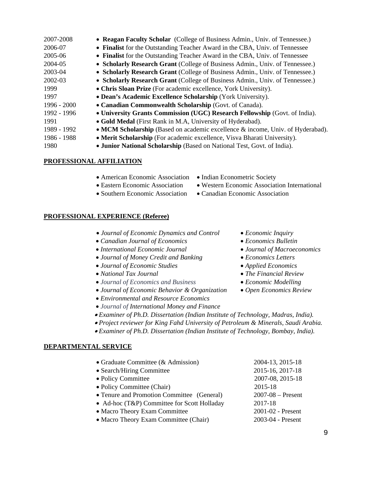| 2007-2008   | • Reagan Faculty Scholar (College of Business Admin., Univ. of Tennessee.)        |
|-------------|-----------------------------------------------------------------------------------|
| 2006-07     | • Finalist for the Outstanding Teacher Award in the CBA, Univ. of Tennessee       |
| 2005-06     | • Finalist for the Outstanding Teacher Award in the CBA, Univ. of Tennessee       |
| 2004-05     | • Scholarly Research Grant (College of Business Admin., Univ. of Tennessee.)      |
| 2003-04     | • Scholarly Research Grant (College of Business Admin., Univ. of Tennessee.)      |
| 2002-03     | • Scholarly Research Grant (College of Business Admin., Univ. of Tennessee.)      |
| 1999        | • Chris Sloan Prize (For academic excellence, York University).                   |
| 1997        | • Dean's Academic Excellence Scholarship (York University).                       |
| 1996 - 2000 | • Canadian Commonwealth Scholarship (Govt. of Canada).                            |
| 1992 - 1996 | • University Grants Commission (UGC) Research Fellowship (Govt. of India).        |
| 1991        | • Gold Medal (First Rank in M.A, University of Hyderabad).                        |
| 1989 - 1992 | • MCM Scholarship (Based on academic excellence $\&$ income, Univ. of Hyderabad). |
| 1986 - 1988 | • Merit Scholarship (For academic excellence, Visva Bharati University).          |
| 1980        | • Junior National Scholarship (Based on National Test, Govt. of India).           |

## **PROFESSIONAL AFFILIATION**

- American Economic Association Indian Econometric Society
- 
- 
- Eastern Economic Association Western Economic Association International
- Southern Economic Association Canadian Economic Association

## **PROFESSIONAL EXPERIENCE (Referee)**

- *Journal of Economic Dynamics and Control Economic Inquiry*
- *Canadian Journal of Economics Economics Bulletin*
- *International Economic Journal Journal of Macroeconomics*
- *Journal of Money Credit and Banking Economics Letters*
- *Journal of Economic Studies Applied Economics*
- *National Tax Journal* *The Financial Review*
- *Journal of Economics and Business Economic Modelling*
- *Journal of Economic Behavior & Organization Open Economics Review*
- *Environmental and Resource Economics*
- *Journal of International Money and Finance*
- *Examiner of Ph.D. Dissertation (Indian Institute of Technology, Madras, India).*
- *Project reviewer for King Fahd University of Petroleum & Minerals, Saudi Arabia.*
- *Examiner of Ph.D. Dissertation (Indian Institute of Technology, Bombay, India).*

#### **DEPARTMENTAL SERVICE**

| • Graduate Committee ( $\&$ Admission)                 | 2004-13, 2015-18    |
|--------------------------------------------------------|---------------------|
| • Search/Hiring Committee                              | 2015-16, 2017-18    |
| • Policy Committee                                     | 2007-08, 2015-18    |
| • Policy Committee (Chair)<br>2015-18                  |                     |
| • Tenure and Promotion Committee (General)             | $2007-08$ – Present |
| • Ad-hoc (T&P) Committee for Scott Holladay<br>2017-18 |                     |
| • Macro Theory Exam Committee                          | $2001-02$ - Present |
| • Macro Theory Exam Committee (Chair)                  | 2003-04 - Present   |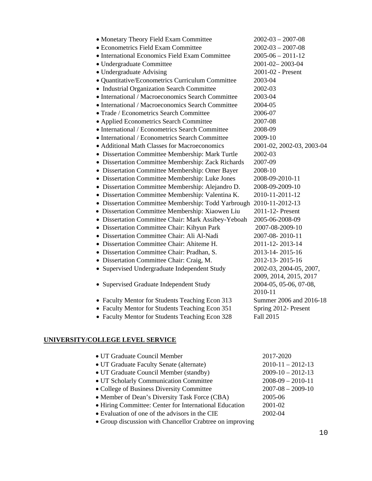| • Monetary Theory Field Exam Committee                              | $2002 - 03 - 2007 - 08$   |
|---------------------------------------------------------------------|---------------------------|
| <b>• Econometrics Field Exam Committee</b>                          | $2002 - 03 - 2007 - 08$   |
| • International Economics Field Exam Committee                      | $2005 - 06 - 2011 - 12$   |
| • Undergraduate Committee                                           | 2001-02-2003-04           |
| • Undergraduate Advising                                            | 2001-02 - Present         |
| · Quantitative/Econometrics Curriculum Committee                    | 2003-04                   |
| • Industrial Organization Search Committee                          | 2002-03                   |
| • International / Macroeconomics Search Committee                   | 2003-04                   |
| • International / Macroeconomics Search Committee                   | 2004-05                   |
| • Trade / Econometrics Search Committee                             | 2006-07                   |
| • Applied Econometrics Search Committee                             | 2007-08                   |
| • International / Econometrics Search Committee                     | 2008-09                   |
| • International / Econometrics Search Committee                     | 2009-10                   |
| • Additional Math Classes for Macroeconomics                        | 2001-02, 2002-03, 2003-04 |
| • Dissertation Committee Membership: Mark Turtle                    | 2002-03                   |
| · Dissertation Committee Membership: Zack Richards                  | 2007-09                   |
| · Dissertation Committee Membership: Omer Bayer                     | 2008-10                   |
| • Dissertation Committee Membership: Luke Jones                     | 2008-09-2010-11           |
| · Dissertation Committee Membership: Alejandro D.                   | 2008-09-2009-10           |
| · Dissertation Committee Membership: Valentina K.                   | 2010-11-2011-12           |
| • Dissertation Committee Membership: Todd Yarbrough 2010-11-2012-13 |                           |
| · Dissertation Committee Membership: Xiaowen Liu                    | 2011-12- Present          |
| · Dissertation Committee Chair: Mark Assibey-Yeboah                 | 2005-06-2008-09           |
| • Dissertation Committee Chair: Kihyun Park                         | 2007-08-2009-10           |
| · Dissertation Committee Chair: Ali Al-Nadi                         | 2007-08-2010-11           |
| • Dissertation Committee Chair: Ahiteme H.                          | 2011-12-2013-14           |
| · Dissertation Committee Chair: Pradhan, S.                         | 2013-14-2015-16           |
| · Dissertation Committee Chair: Craig, M.                           | 2012-13-2015-16           |
| • Supervised Undergraduate Independent Study                        | 2002-03, 2004-05, 2007,   |
|                                                                     | 2009, 2014, 2015, 2017    |
| • Supervised Graduate Independent Study                             | 2004-05, 05-06, 07-08,    |
|                                                                     | 2010-11                   |
| • Faculty Mentor for Students Teaching Econ 313                     | Summer 2006 and 2016-18   |
| • Faculty Mentor for Students Teaching Econ 351                     | Spring 2012- Present      |
| • Faculty Mentor for Students Teaching Econ 328                     | Fall 2015                 |
|                                                                     |                           |

# **UNIVERSITY/COLLEGE LEVEL SERVICE**

| • UT Graduate Council Member                           | 2017-2020               |
|--------------------------------------------------------|-------------------------|
| • UT Graduate Faculty Senate (alternate)               | $2010-11 - 2012-13$     |
| • UT Graduate Council Member (standby)                 | $2009-10-2012-13$       |
| • UT Scholarly Communication Committee                 | $2008-09 - 2010-11$     |
| • College of Business Diversity Committee              | $2007 - 08 - 2009 - 10$ |
| • Member of Dean's Diversity Task Force (CBA)          | 2005-06                 |
| • Hiring Committee: Center for International Education | 2001-02                 |
| • Evaluation of one of the advisors in the CIE         | 2002-04                 |
|                                                        |                         |

Group discussion with Chancellor Crabtree on improving